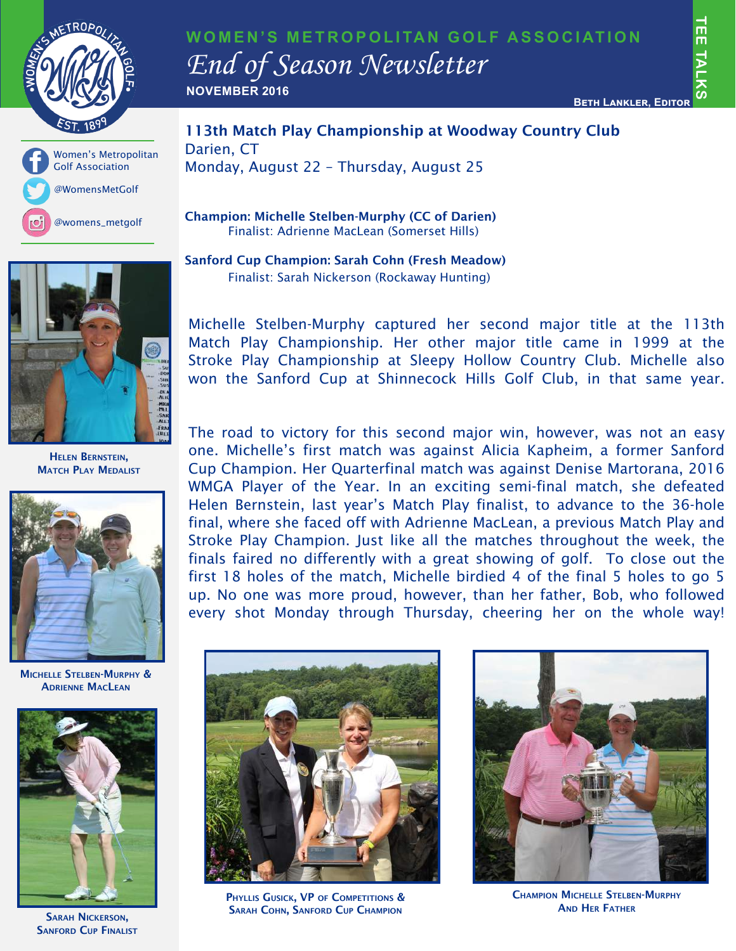





113th Match Play Championship at Woodway Country Club Darien, CT Monday, August 22 – Thursday, August 25

Champion: Michelle Stelben-Murphy (CC of Darien) Finalist: Adrienne MacLean (Somerset Hills)

Sanford Cup Champion: Sarah Cohn (Fresh Meadow) Finalist: Sarah Nickerson (Rockaway Hunting)



Helen Bernstein, **MATCH PLAY MEDALIST** 



Michelle Stelben-Murphy & Adrienne MacLean



**SANFORD CUP FINALIST** 

Michelle Stelben-Murphy captured her second major title at the 113th Match Play Championship. Her other major title came in 1999 at the Stroke Play Championship at Sleepy Hollow Country Club. Michelle also won the Sanford Cup at Shinnecock Hills Golf Club, in that same year.

The road to victory for this second major win, however, was not an easy one. Michelle's first match was against Alicia Kapheim, a former Sanford Cup Champion. Her Quarterfinal match was against Denise Martorana, 2016 WMGA Player of the Year. In an exciting semi-final match, she defeated Helen Bernstein, last year's Match Play finalist, to advance to the 36-hole final, where she faced off with Adrienne MacLean, a previous Match Play and Stroke Play Champion. Just like all the matches throughout the week, the finals faired no differently with a great showing of golf. To close out the first 18 holes of the match, Michelle birdied 4 of the final 5 holes to go 5 up. No one was more proud, however, than her father, Bob, who followed every shot Monday through Thursday, cheering her on the whole way!



PHYLLIS GUSICK, VP OF COMPETITIONS & SARAH NICKERSON, SARAH COHN, SANFORD CUP CHAMPION



CHAMPION MICHELLE STELBEN-MURPHY **AND HER FATHER**